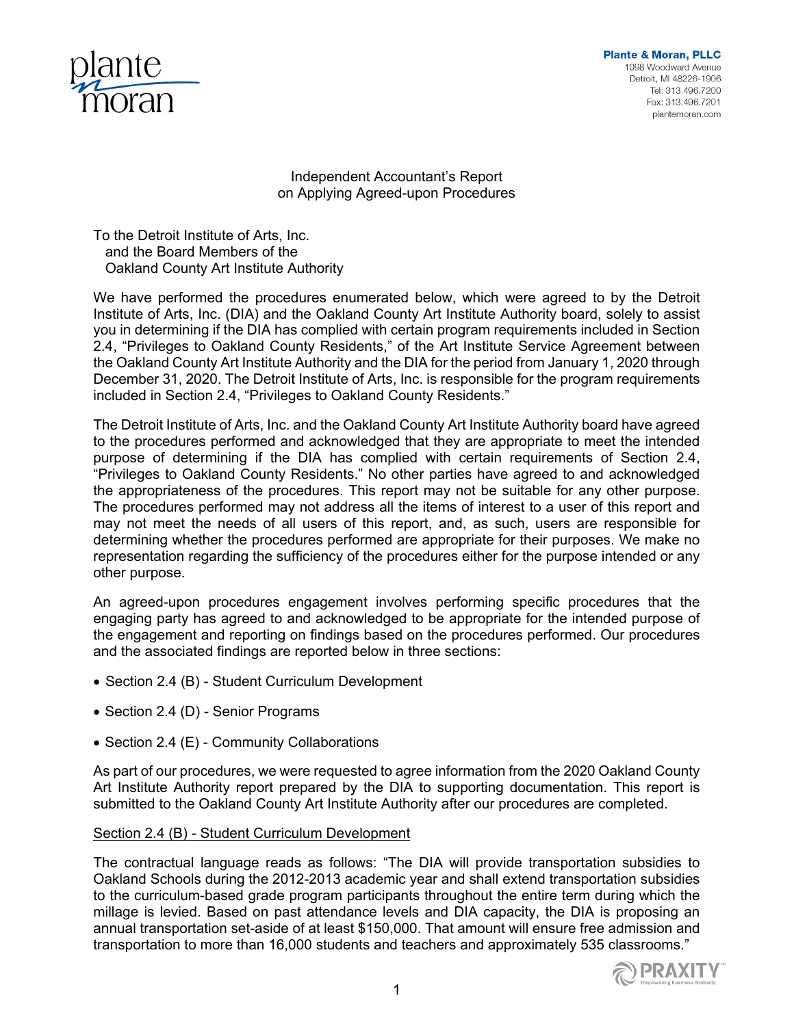

Independent Accountant's Report on Applying Agreed-upon Procedures

To the Detroit Institute of Arts, Inc. and the Board Members of the Oakland County Art Institute Authority

We have performed the procedures enumerated below, which were agreed to by the Detroit Institute of Arts, Inc. (DIA) and the Oakland County Art Institute Authority board, solely to assist you in determining if the DIA has complied with certain program requirements included in Section 2.4, "Privileges to Oakland County Residents," of the Art Institute Service Agreement between the Oakland County Art Institute Authority and the DIA for the period from January 1, 2020 through December 31, 2020. The Detroit Institute of Arts, Inc. is responsible for the program requirements included in Section 2.4, "Privileges to Oakland County Residents."

The Detroit Institute of Arts, Inc. and the Oakland County Art Institute Authority board have agreed to the procedures performed and acknowledged that they are appropriate to meet the intended purpose of determining if the DIA has complied with certain requirements of Section 2.4, "Privileges to Oakland County Residents." No other parties have agreed to and acknowledged the appropriateness of the procedures. This report may not be suitable for any other purpose. The procedures performed may not address all the items of interest to a user of this report and may not meet the needs of all users of this report, and, as such, users are responsible for determining whether the procedures performed are appropriate for their purposes. We make no representation regarding the sufficiency of the procedures either for the purpose intended or any other purpose.

An agreed-upon procedures engagement involves performing specific procedures that the engaging party has agreed to and acknowledged to be appropriate for the intended purpose of the engagement and reporting on findings based on the procedures performed. Our procedures and the associated findings are reported below in three sections:

- Section 2.4 (B) Student Curriculum Development
- Section 2.4 (D) Senior Programs
- Section 2.4 (E) Community Collaborations

As part of our procedures, we were requested to agree information from the 2020 Oakland County Art Institute Authority report prepared by the DIA to supporting documentation. This report is submitted to the Oakland County Art Institute Authority after our procedures are completed.

### Section 2.4 (B) - Student Curriculum Development

The contractual language reads as follows: "The DIA will provide transportation subsidies to Oakland Schools during the 2012-2013 academic year and shall extend transportation subsidies to the curriculum-based grade program participants throughout the entire term during which the millage is levied. Based on past attendance levels and DIA capacity, the DIA is proposing an annual transportation set-aside of at least \$150,000. That amount will ensure free admission and transportation to more than 16,000 students and teachers and approximately 535 classrooms."

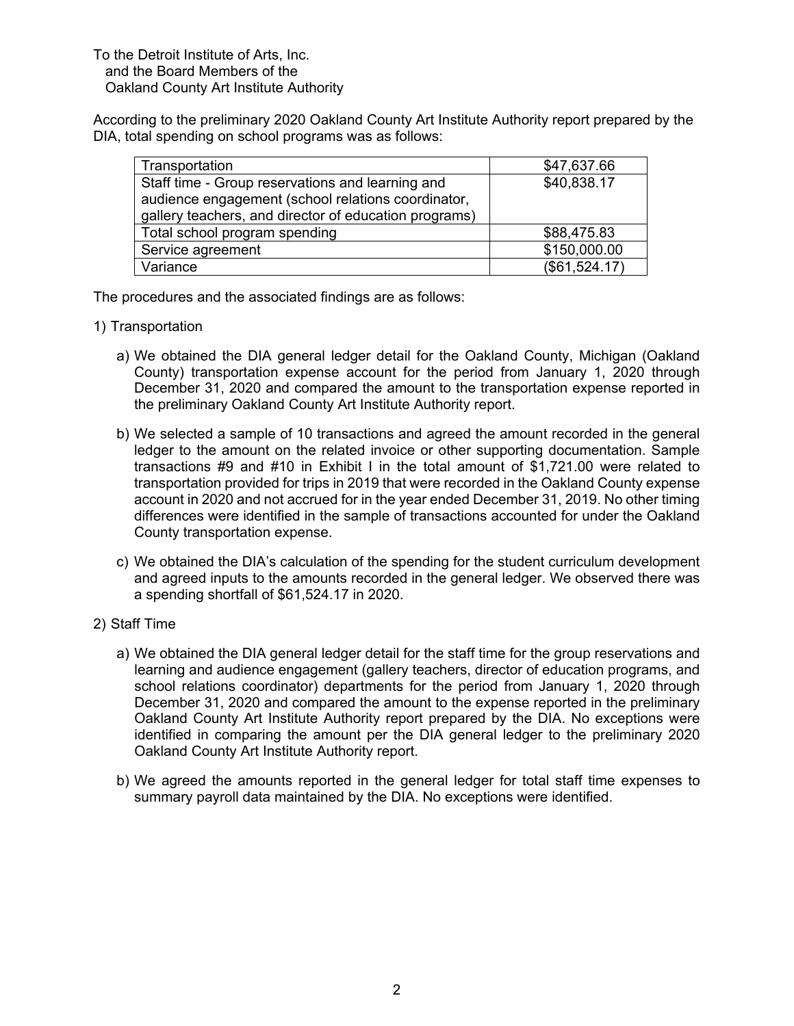According to the preliminary 2020 Oakland County Art Institute Authority report prepared by the DIA, total spending on school programs was as follows:

| Transportation                                        | \$47,637.66   |
|-------------------------------------------------------|---------------|
| Staff time - Group reservations and learning and      | \$40,838.17   |
| audience engagement (school relations coordinator,    |               |
| gallery teachers, and director of education programs) |               |
| Total school program spending                         | \$88,475.83   |
| Service agreement                                     | \$150,000.00  |
| Variance                                              | (\$61,524.17) |

The procedures and the associated findings are as follows:

- 1) Transportation
	- a) We obtained the DIA general ledger detail for the Oakland County, Michigan (Oakland County) transportation expense account for the period from January 1, 2020 through December 31, 2020 and compared the amount to the transportation expense reported in the preliminary Oakland County Art Institute Authority report.
	- b) We selected a sample of 10 transactions and agreed the amount recorded in the general ledger to the amount on the related invoice or other supporting documentation. Sample transactions #9 and #10 in Exhibit I in the total amount of \$1,721.00 were related to transportation provided for trips in 2019 that were recorded in the Oakland County expense account in 2020 and not accrued for in the year ended December 31, 2019. No other timing differences were identified in the sample of transactions accounted for under the Oakland County transportation expense.
	- c) We obtained the DIA's calculation of the spending for the student curriculum development and agreed inputs to the amounts recorded in the general ledger. We observed there was a spending shortfall of \$61,524.17 in 2020.
- 2) Staff Time
	- a) We obtained the DIA general ledger detail for the staff time for the group reservations and learning and audience engagement (gallery teachers, director of education programs, and school relations coordinator) departments for the period from January 1, 2020 through December 31, 2020 and compared the amount to the expense reported in the preliminary Oakland County Art Institute Authority report prepared by the DIA. No exceptions were identified in comparing the amount per the DIA general ledger to the preliminary 2020 Oakland County Art Institute Authority report.
	- b) We agreed the amounts reported in the general ledger for total staff time expenses to summary payroll data maintained by the DIA. No exceptions were identified.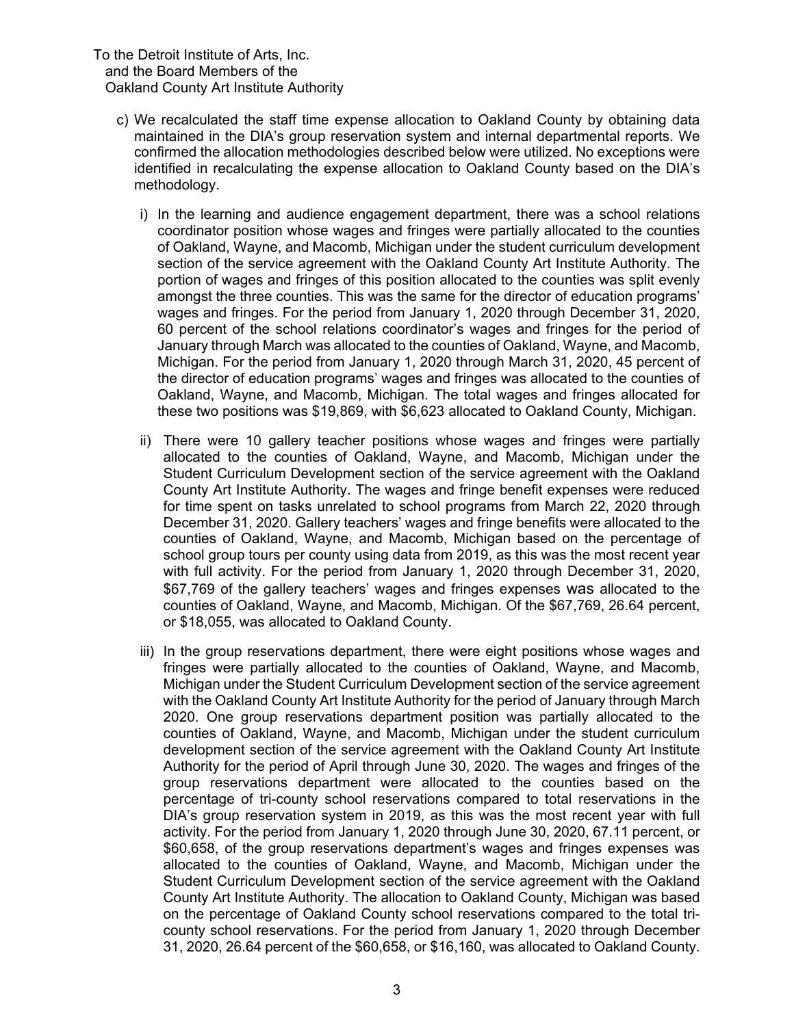- c) We recalculated the staff time expense allocation to Oakland County by obtaining data maintained in the DIA's group reservation system and internal departmental reports. We confirmed the allocation methodologies described below were utilized. No exceptions were identified in recalculating the expense allocation to Oakland County based on the DIA's methodology.
	- i) In the learning and audience engagement department, there was a school relations coordinator position whose wages and fringes were partially allocated to the counties of Oakland, Wayne, and Macomb, Michigan under the student curriculum development section of the service agreement with the Oakland County Art Institute Authority. The portion of wages and fringes of this position allocated to the counties was split evenly amongst the three counties. This was the same for the director of education programs' wages and fringes. For the period from January 1, 2020 through December 31, 2020, 60 percent of the school relations coordinator's wages and fringes for the period of January through March was allocated to the counties of Oakland, Wayne, and Macomb, Michigan. For the period from January 1, 2020 through March 31, 2020, 45 percent of the director of education programs' wages and fringes was allocated to the counties of Oakland, Wayne, and Macomb, Michigan. The total wages and fringes allocated for these two positions was \$19,869, with \$6,623 allocated to Oakland County, Michigan.
	- ii) There were 10 gallery teacher positions whose wages and fringes were partially allocated to the counties of Oakland, Wayne, and Macomb, Michigan under the Student Curriculum Development section of the service agreement with the Oakland County Art Institute Authority. The wages and fringe benefit expenses were reduced for time spent on tasks unrelated to school programs from March 22, 2020 through December 31, 2020. Gallery teachers' wages and fringe benefits were allocated to the counties of Oakland, Wayne, and Macomb, Michigan based on the percentage of school group tours per county using data from 2019, as this was the most recent year with full activity. For the period from January 1, 2020 through December 31, 2020, \$67,769 of the gallery teachers' wages and fringes expenses was allocated to the counties of Oakland, Wayne, and Macomb, Michigan. Of the \$67,769, 26.64 percent, or \$18,055, was allocated to Oakland County.
	- iii) In the group reservations department, there were eight positions whose wages and fringes were partially allocated to the counties of Oakland, Wayne, and Macomb, Michigan under the Student Curriculum Development section of the service agreement with the Oakland County Art Institute Authority for the period of January through March 2020. One group reservations department position was partially allocated to the counties of Oakland, Wayne, and Macomb, Michigan under the student curriculum development section of the service agreement with the Oakland County Art Institute Authority for the period of April through June 30, 2020. The wages and fringes of the group reservations department were allocated to the counties based on the percentage of tri-county school reservations compared to total reservations in the DIA's group reservation system in 2019, as this was the most recent year with full activity. For the period from January 1, 2020 through June 30, 2020, 67.11 percent, or \$60,658, of the group reservations department's wages and fringes expenses was allocated to the counties of Oakland, Wayne, and Macomb, Michigan under the Student Curriculum Development section of the service agreement with the Oakland County Art Institute Authority. The allocation to Oakland County, Michigan was based on the percentage of Oakland County school reservations compared to the total tricounty school reservations. For the period from January 1, 2020 through December 31, 2020, 26.64 percent of the \$60,658, or \$16,160, was allocated to Oakland County.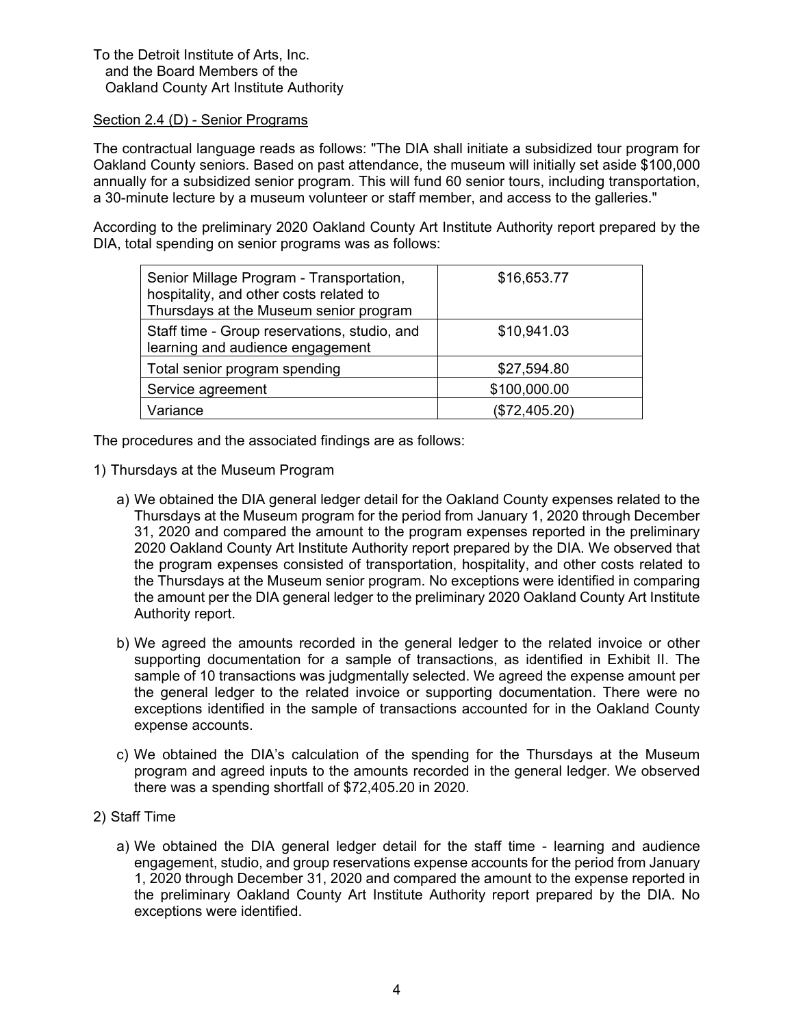# Section 2.4 (D) - Senior Programs

The contractual language reads as follows: "The DIA shall initiate a subsidized tour program for Oakland County seniors. Based on past attendance, the museum will initially set aside \$100,000 annually for a subsidized senior program. This will fund 60 senior tours, including transportation, a 30-minute lecture by a museum volunteer or staff member, and access to the galleries."

According to the preliminary 2020 Oakland County Art Institute Authority report prepared by the DIA, total spending on senior programs was as follows:

| Senior Millage Program - Transportation,<br>hospitality, and other costs related to<br>Thursdays at the Museum senior program | \$16,653.77   |
|-------------------------------------------------------------------------------------------------------------------------------|---------------|
| Staff time - Group reservations, studio, and<br>learning and audience engagement                                              | \$10,941.03   |
| Total senior program spending                                                                                                 | \$27,594.80   |
| Service agreement                                                                                                             | \$100,000.00  |
| Variance                                                                                                                      | (\$72,405.20) |

The procedures and the associated findings are as follows:

- 1) Thursdays at the Museum Program
	- a) We obtained the DIA general ledger detail for the Oakland County expenses related to the Thursdays at the Museum program for the period from January 1, 2020 through December 31, 2020 and compared the amount to the program expenses reported in the preliminary 2020 Oakland County Art Institute Authority report prepared by the DIA. We observed that the program expenses consisted of transportation, hospitality, and other costs related to the Thursdays at the Museum senior program. No exceptions were identified in comparing the amount per the DIA general ledger to the preliminary 2020 Oakland County Art Institute Authority report.
	- b) We agreed the amounts recorded in the general ledger to the related invoice or other supporting documentation for a sample of transactions, as identified in Exhibit II. The sample of 10 transactions was judgmentally selected. We agreed the expense amount per the general ledger to the related invoice or supporting documentation. There were no exceptions identified in the sample of transactions accounted for in the Oakland County expense accounts.
	- c) We obtained the DIA's calculation of the spending for the Thursdays at the Museum program and agreed inputs to the amounts recorded in the general ledger. We observed there was a spending shortfall of \$72,405.20 in 2020.
- 2) Staff Time
	- a) We obtained the DIA general ledger detail for the staff time learning and audience engagement, studio, and group reservations expense accounts for the period from January 1, 2020 through December 31, 2020 and compared the amount to the expense reported in the preliminary Oakland County Art Institute Authority report prepared by the DIA. No exceptions were identified.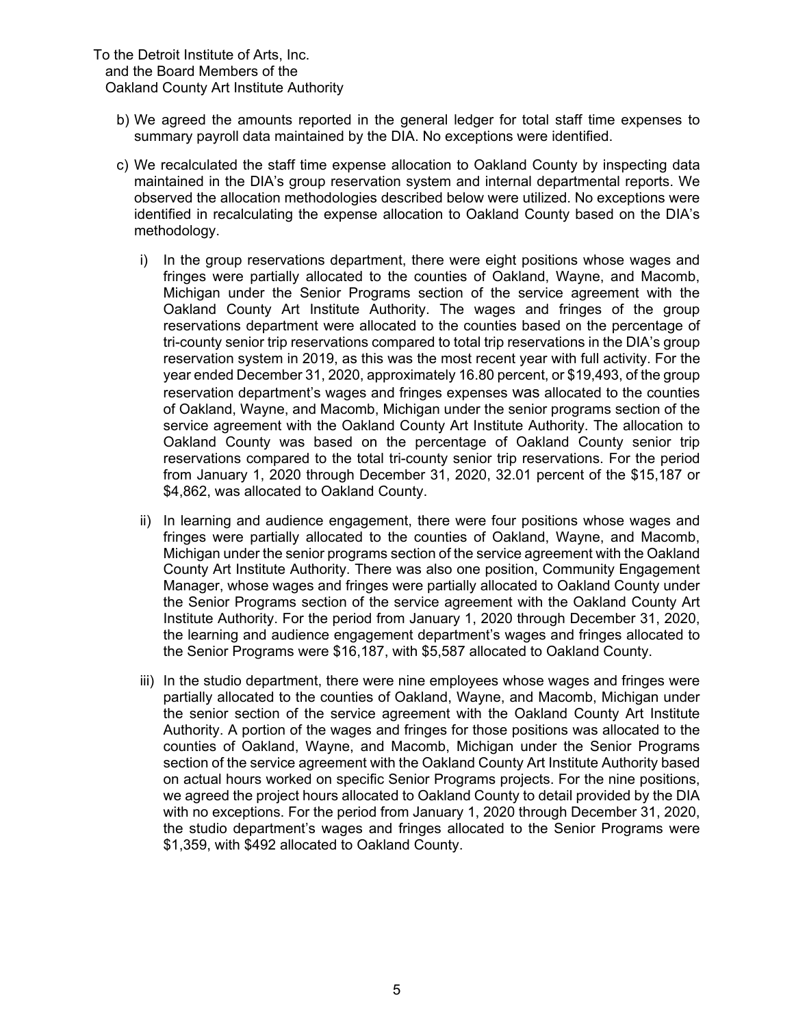- b) We agreed the amounts reported in the general ledger for total staff time expenses to summary payroll data maintained by the DIA. No exceptions were identified.
- c) We recalculated the staff time expense allocation to Oakland County by inspecting data maintained in the DIA's group reservation system and internal departmental reports. We observed the allocation methodologies described below were utilized. No exceptions were identified in recalculating the expense allocation to Oakland County based on the DIA's methodology.
	- i) In the group reservations department, there were eight positions whose wages and fringes were partially allocated to the counties of Oakland, Wayne, and Macomb, Michigan under the Senior Programs section of the service agreement with the Oakland County Art Institute Authority. The wages and fringes of the group reservations department were allocated to the counties based on the percentage of tri-county senior trip reservations compared to total trip reservations in the DIA's group reservation system in 2019, as this was the most recent year with full activity. For the year ended December 31, 2020, approximately 16.80 percent, or \$19,493, of the group reservation department's wages and fringes expenses was allocated to the counties of Oakland, Wayne, and Macomb, Michigan under the senior programs section of the service agreement with the Oakland County Art Institute Authority. The allocation to Oakland County was based on the percentage of Oakland County senior trip reservations compared to the total tri-county senior trip reservations. For the period from January 1, 2020 through December 31, 2020, 32.01 percent of the \$15,187 or \$4,862, was allocated to Oakland County.
	- ii) In learning and audience engagement, there were four positions whose wages and fringes were partially allocated to the counties of Oakland, Wayne, and Macomb, Michigan under the senior programs section of the service agreement with the Oakland County Art Institute Authority. There was also one position, Community Engagement Manager, whose wages and fringes were partially allocated to Oakland County under the Senior Programs section of the service agreement with the Oakland County Art Institute Authority. For the period from January 1, 2020 through December 31, 2020, the learning and audience engagement department's wages and fringes allocated to the Senior Programs were \$16,187, with \$5,587 allocated to Oakland County.
	- iii) In the studio department, there were nine employees whose wages and fringes were partially allocated to the counties of Oakland, Wayne, and Macomb, Michigan under the senior section of the service agreement with the Oakland County Art Institute Authority. A portion of the wages and fringes for those positions was allocated to the counties of Oakland, Wayne, and Macomb, Michigan under the Senior Programs section of the service agreement with the Oakland County Art Institute Authority based on actual hours worked on specific Senior Programs projects. For the nine positions, we agreed the project hours allocated to Oakland County to detail provided by the DIA with no exceptions. For the period from January 1, 2020 through December 31, 2020, the studio department's wages and fringes allocated to the Senior Programs were \$1,359, with \$492 allocated to Oakland County.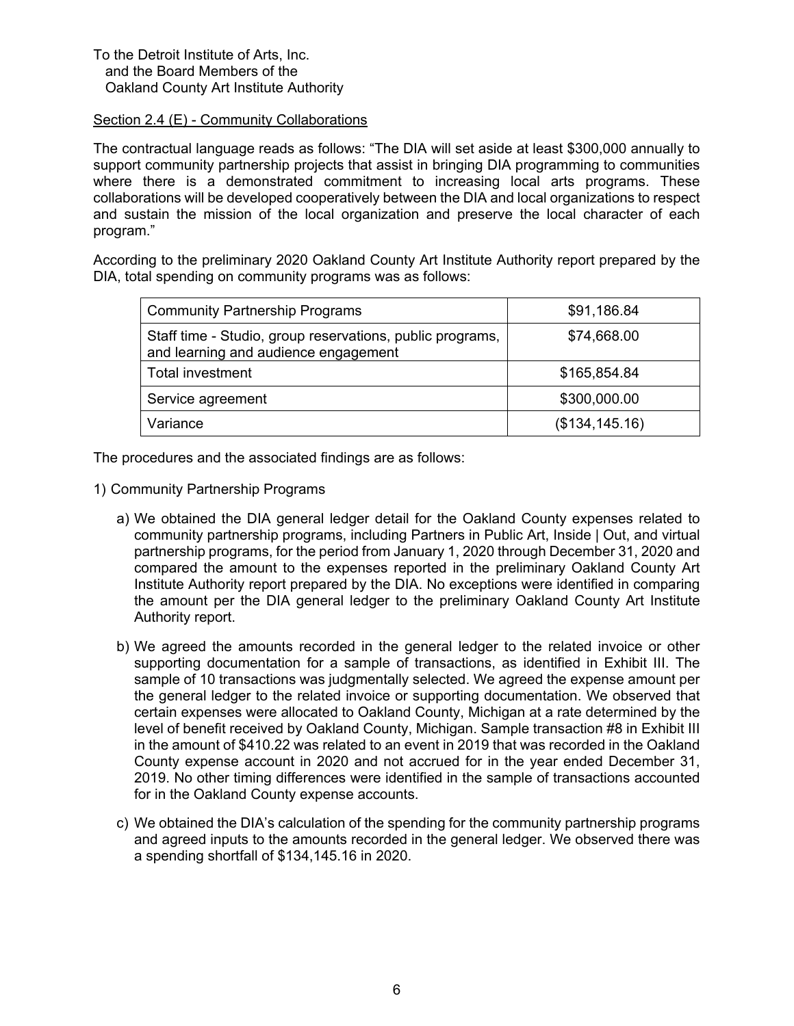# Section 2.4 (E) - Community Collaborations

The contractual language reads as follows: "The DIA will set aside at least \$300,000 annually to support community partnership projects that assist in bringing DIA programming to communities where there is a demonstrated commitment to increasing local arts programs. These collaborations will be developed cooperatively between the DIA and local organizations to respect and sustain the mission of the local organization and preserve the local character of each program."

According to the preliminary 2020 Oakland County Art Institute Authority report prepared by the DIA, total spending on community programs was as follows:

| <b>Community Partnership Programs</b>                                                             | \$91,186.84     |
|---------------------------------------------------------------------------------------------------|-----------------|
| Staff time - Studio, group reservations, public programs,<br>and learning and audience engagement | \$74,668.00     |
| Total investment                                                                                  | \$165,854.84    |
| Service agreement                                                                                 | \$300,000.00    |
| Variance                                                                                          | (\$134, 145.16) |

The procedures and the associated findings are as follows:

- 1) Community Partnership Programs
	- a) We obtained the DIA general ledger detail for the Oakland County expenses related to community partnership programs, including Partners in Public Art, Inside | Out, and virtual partnership programs, for the period from January 1, 2020 through December 31, 2020 and compared the amount to the expenses reported in the preliminary Oakland County Art Institute Authority report prepared by the DIA. No exceptions were identified in comparing the amount per the DIA general ledger to the preliminary Oakland County Art Institute Authority report.
	- b) We agreed the amounts recorded in the general ledger to the related invoice or other supporting documentation for a sample of transactions, as identified in Exhibit III. The sample of 10 transactions was judgmentally selected. We agreed the expense amount per the general ledger to the related invoice or supporting documentation. We observed that certain expenses were allocated to Oakland County, Michigan at a rate determined by the level of benefit received by Oakland County, Michigan. Sample transaction #8 in Exhibit III in the amount of \$410.22 was related to an event in 2019 that was recorded in the Oakland County expense account in 2020 and not accrued for in the year ended December 31, 2019. No other timing differences were identified in the sample of transactions accounted for in the Oakland County expense accounts.
	- c) We obtained the DIA's calculation of the spending for the community partnership programs and agreed inputs to the amounts recorded in the general ledger. We observed there was a spending shortfall of \$134,145.16 in 2020.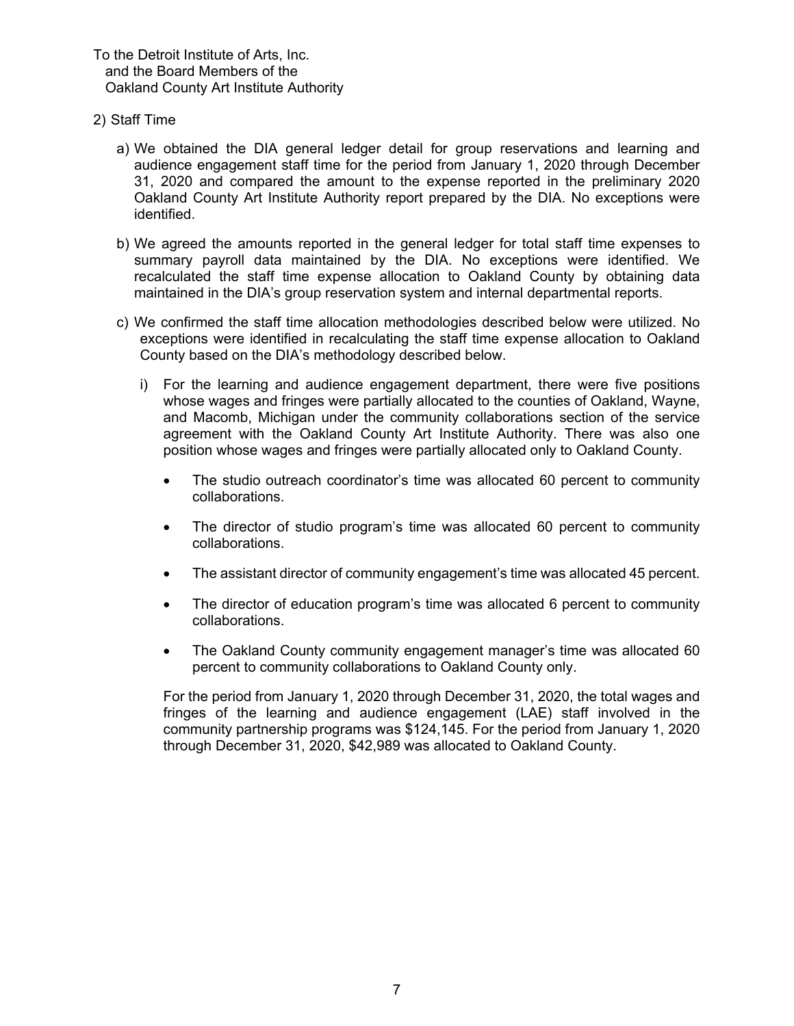- 2) Staff Time
	- a) We obtained the DIA general ledger detail for group reservations and learning and audience engagement staff time for the period from January 1, 2020 through December 31, 2020 and compared the amount to the expense reported in the preliminary 2020 Oakland County Art Institute Authority report prepared by the DIA. No exceptions were identified.
	- b) We agreed the amounts reported in the general ledger for total staff time expenses to summary payroll data maintained by the DIA. No exceptions were identified. We recalculated the staff time expense allocation to Oakland County by obtaining data maintained in the DIA's group reservation system and internal departmental reports.
	- c) We confirmed the staff time allocation methodologies described below were utilized. No exceptions were identified in recalculating the staff time expense allocation to Oakland County based on the DIA's methodology described below.
		- i) For the learning and audience engagement department, there were five positions whose wages and fringes were partially allocated to the counties of Oakland, Wayne, and Macomb, Michigan under the community collaborations section of the service agreement with the Oakland County Art Institute Authority. There was also one position whose wages and fringes were partially allocated only to Oakland County.
			- The studio outreach coordinator's time was allocated 60 percent to community collaborations.
			- The director of studio program's time was allocated 60 percent to community collaborations.
			- The assistant director of community engagement's time was allocated 45 percent.
			- The director of education program's time was allocated 6 percent to community collaborations.
			- The Oakland County community engagement manager's time was allocated 60 percent to community collaborations to Oakland County only.

For the period from January 1, 2020 through December 31, 2020, the total wages and fringes of the learning and audience engagement (LAE) staff involved in the community partnership programs was \$124,145. For the period from January 1, 2020 through December 31, 2020, \$42,989 was allocated to Oakland County.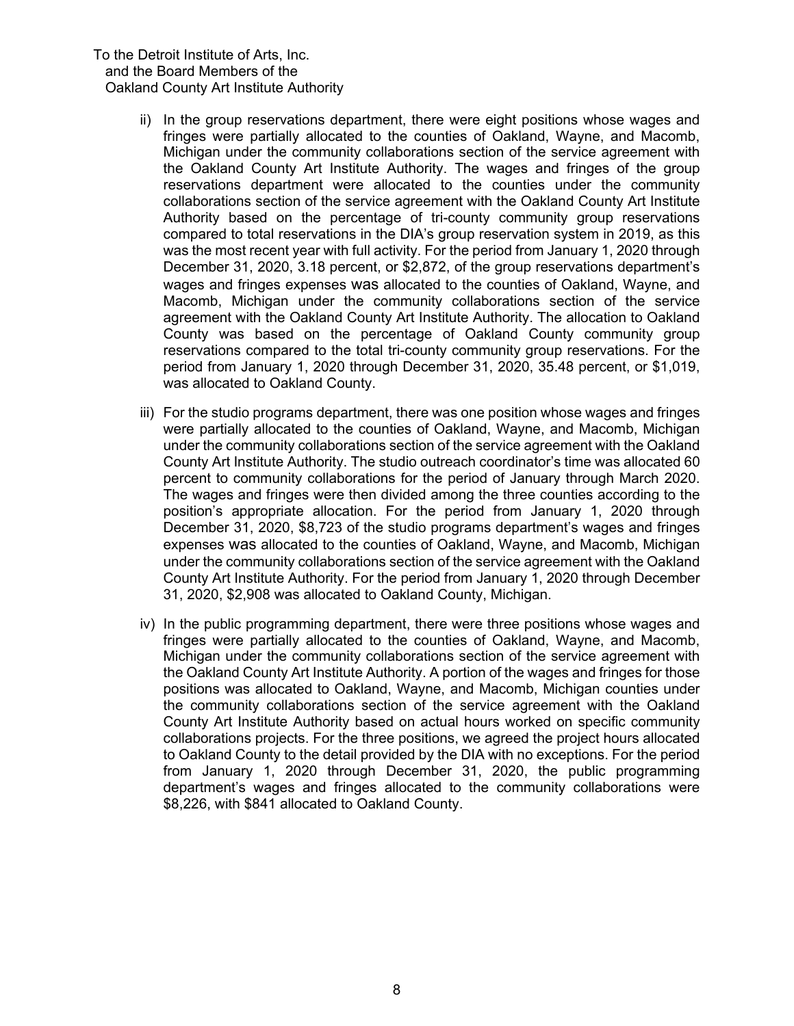- ii) In the group reservations department, there were eight positions whose wages and fringes were partially allocated to the counties of Oakland, Wayne, and Macomb, Michigan under the community collaborations section of the service agreement with the Oakland County Art Institute Authority. The wages and fringes of the group reservations department were allocated to the counties under the community collaborations section of the service agreement with the Oakland County Art Institute Authority based on the percentage of tri-county community group reservations compared to total reservations in the DIA's group reservation system in 2019, as this was the most recent year with full activity. For the period from January 1, 2020 through December 31, 2020, 3.18 percent, or \$2,872, of the group reservations department's wages and fringes expenses was allocated to the counties of Oakland, Wayne, and Macomb, Michigan under the community collaborations section of the service agreement with the Oakland County Art Institute Authority. The allocation to Oakland County was based on the percentage of Oakland County community group reservations compared to the total tri-county community group reservations. For the period from January 1, 2020 through December 31, 2020, 35.48 percent, or \$1,019, was allocated to Oakland County.
- iii) For the studio programs department, there was one position whose wages and fringes were partially allocated to the counties of Oakland, Wayne, and Macomb, Michigan under the community collaborations section of the service agreement with the Oakland County Art Institute Authority. The studio outreach coordinator's time was allocated 60 percent to community collaborations for the period of January through March 2020. The wages and fringes were then divided among the three counties according to the position's appropriate allocation. For the period from January 1, 2020 through December 31, 2020, \$8,723 of the studio programs department's wages and fringes expenses was allocated to the counties of Oakland, Wayne, and Macomb, Michigan under the community collaborations section of the service agreement with the Oakland County Art Institute Authority. For the period from January 1, 2020 through December 31, 2020, \$2,908 was allocated to Oakland County, Michigan.
- iv) In the public programming department, there were three positions whose wages and fringes were partially allocated to the counties of Oakland, Wayne, and Macomb, Michigan under the community collaborations section of the service agreement with the Oakland County Art Institute Authority. A portion of the wages and fringes for those positions was allocated to Oakland, Wayne, and Macomb, Michigan counties under the community collaborations section of the service agreement with the Oakland County Art Institute Authority based on actual hours worked on specific community collaborations projects. For the three positions, we agreed the project hours allocated to Oakland County to the detail provided by the DIA with no exceptions. For the period from January 1, 2020 through December 31, 2020, the public programming department's wages and fringes allocated to the community collaborations were \$8,226, with \$841 allocated to Oakland County.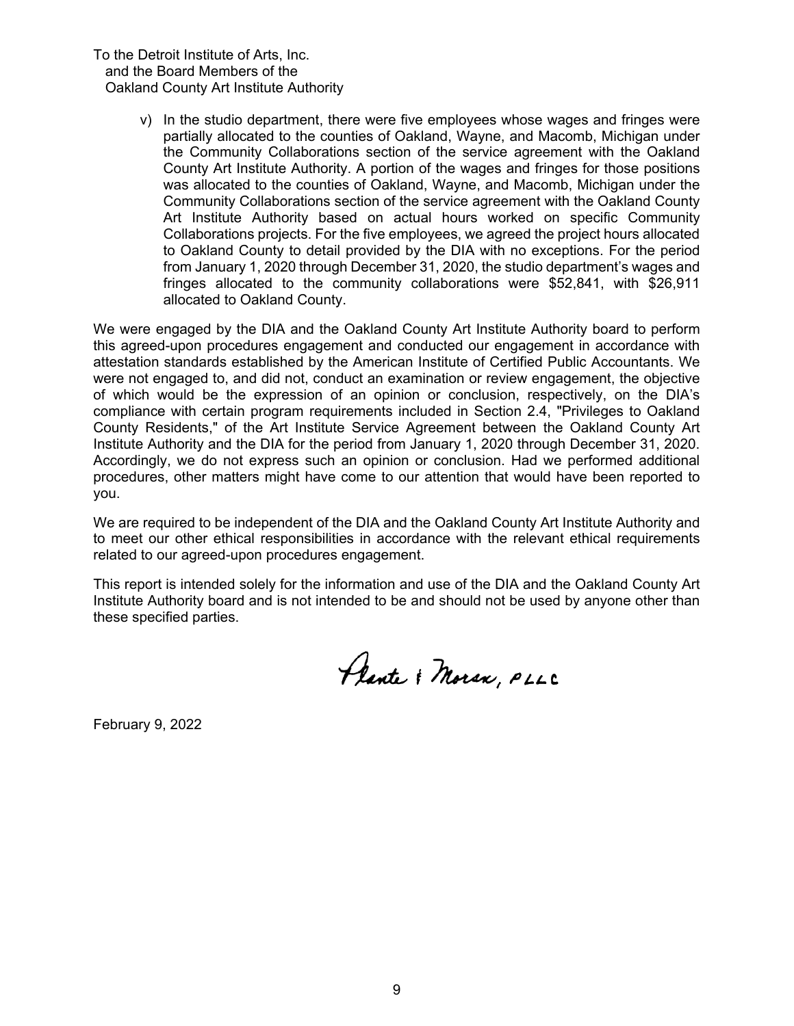> v) In the studio department, there were five employees whose wages and fringes were partially allocated to the counties of Oakland, Wayne, and Macomb, Michigan under the Community Collaborations section of the service agreement with the Oakland County Art Institute Authority. A portion of the wages and fringes for those positions was allocated to the counties of Oakland, Wayne, and Macomb, Michigan under the Community Collaborations section of the service agreement with the Oakland County Art Institute Authority based on actual hours worked on specific Community Collaborations projects. For the five employees, we agreed the project hours allocated to Oakland County to detail provided by the DIA with no exceptions. For the period from January 1, 2020 through December 31, 2020, the studio department's wages and fringes allocated to the community collaborations were \$52,841, with \$26,911 allocated to Oakland County.

We were engaged by the DIA and the Oakland County Art Institute Authority board to perform this agreed-upon procedures engagement and conducted our engagement in accordance with attestation standards established by the American Institute of Certified Public Accountants. We were not engaged to, and did not, conduct an examination or review engagement, the objective of which would be the expression of an opinion or conclusion, respectively, on the DIA's compliance with certain program requirements included in Section 2.4, "Privileges to Oakland County Residents," of the Art Institute Service Agreement between the Oakland County Art Institute Authority and the DIA for the period from January 1, 2020 through December 31, 2020. Accordingly, we do not express such an opinion or conclusion. Had we performed additional procedures, other matters might have come to our attention that would have been reported to you.

We are required to be independent of the DIA and the Oakland County Art Institute Authority and to meet our other ethical responsibilities in accordance with the relevant ethical requirements related to our agreed-upon procedures engagement.

This report is intended solely for the information and use of the DIA and the Oakland County Art Institute Authority board and is not intended to be and should not be used by anyone other than these specified parties.

Plante & Moran, PLLC

February 9, 2022